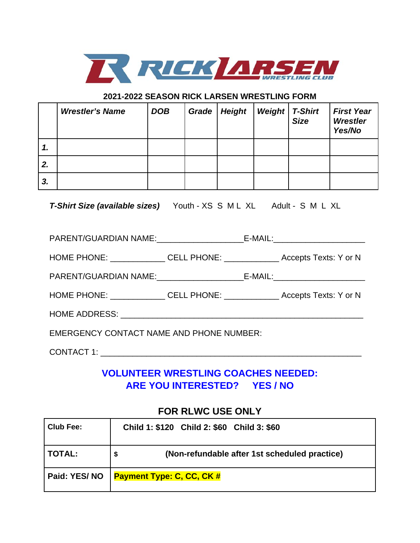

## **2021-2022 SEASON RICK LARSEN WRESTLING FORM**

|    | <b>Wrestler's Name</b> | <b>DOB</b> | Grade   Height | <b>Weight</b> | <b>T-Shirt</b><br><b>Size</b> | <b>First Year</b><br>Wrestler<br>Yes/No |
|----|------------------------|------------|----------------|---------------|-------------------------------|-----------------------------------------|
| 1. |                        |            |                |               |                               |                                         |
| 2. |                        |            |                |               |                               |                                         |
| 3. |                        |            |                |               |                               |                                         |

*T-Shirt Size (available sizes)* Youth - XS S M L XL Adult - S M L XL

| <b>EMERGENCY CONTACT NAME AND PHONE NUMBER:</b> |  |  |  |  |
|-------------------------------------------------|--|--|--|--|

CONTACT 1: \_\_\_\_\_\_\_\_\_\_\_\_\_\_\_\_\_\_\_\_\_\_\_\_\_\_\_\_\_\_\_\_\_\_\_\_\_\_\_\_\_\_\_\_\_\_\_\_\_\_\_\_\_\_\_\_\_

## **VOLUNTEER WRESTLING COACHES NEEDED: ARE YOU INTERESTED? YES / NO**

## **FOR RLWC USE ONLY**

| <b>Club Fee:</b> | Child 1: \$120 Child 2: \$60 Child 3: \$60    |
|------------------|-----------------------------------------------|
| <b>TOTAL:</b>    | (Non-refundable after 1st scheduled practice) |
| Paid: YES/NO     | <b>Payment Type: C, CC, CK #</b>              |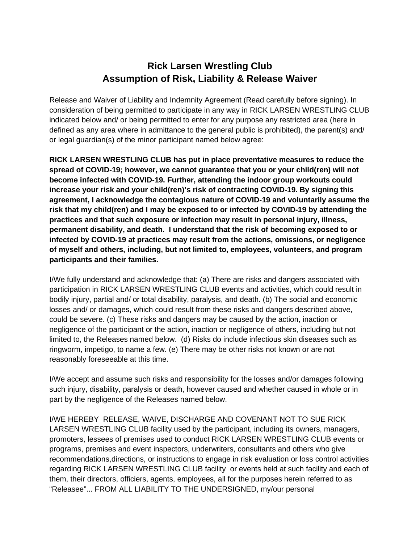## **Rick Larsen Wrestling Club Assumption of Risk, Liability & Release Waiver**

Release and Waiver of Liability and Indemnity Agreement (Read carefully before signing). In consideration of being permitted to participate in any way in RICK LARSEN WRESTLING CLUB indicated below and/ or being permitted to enter for any purpose any restricted area (here in defined as any area where in admittance to the general public is prohibited), the parent(s) and/ or legal guardian(s) of the minor participant named below agree:

**RICK LARSEN WRESTLING CLUB has put in place preventative measures to reduce the spread of COVID-19; however, we cannot guarantee that you or your child(ren) will not become infected with COVID-19. Further, attending the indoor group workouts could increase your risk and your child(ren)'s risk of contracting COVID-19. By signing this agreement, I acknowledge the contagious nature of COVID-19 and voluntarily assume the risk that my child(ren) and I may be exposed to or infected by COVID-19 by attending the practices and that such exposure or infection may result in personal injury, illness, permanent disability, and death. I understand that the risk of becoming exposed to or infected by COVID-19 at practices may result from the actions, omissions, or negligence of myself and others, including, but not limited to, employees, volunteers, and program participants and their families.**

I/We fully understand and acknowledge that: (a) There are risks and dangers associated with participation in RICK LARSEN WRESTLING CLUB events and activities, which could result in bodily injury, partial and/ or total disability, paralysis, and death. (b) The social and economic losses and/ or damages, which could result from these risks and dangers described above, could be severe. (c) These risks and dangers may be caused by the action, inaction or negligence of the participant or the action, inaction or negligence of others, including but not limited to, the Releases named below. (d) Risks do include infectious skin diseases such as ringworm, impetigo, to name a few. (e) There may be other risks not known or are not reasonably foreseeable at this time.

I/We accept and assume such risks and responsibility for the losses and/or damages following such injury, disability, paralysis or death, however caused and whether caused in whole or in part by the negligence of the Releases named below.

I/WE HEREBY RELEASE, WAIVE, DISCHARGE AND COVENANT NOT TO SUE RICK LARSEN WRESTLING CLUB facility used by the participant, including its owners, managers, promoters, lessees of premises used to conduct RICK LARSEN WRESTLING CLUB events or programs, premises and event inspectors, underwriters, consultants and others who give recommendations,directions, or instructions to engage in risk evaluation or loss control activities regarding RICK LARSEN WRESTLING CLUB facility or events held at such facility and each of them, their directors, officiers, agents, employees, all for the purposes herein referred to as "Releasee"... FROM ALL LIABILITY TO THE UNDERSIGNED, my/our personal